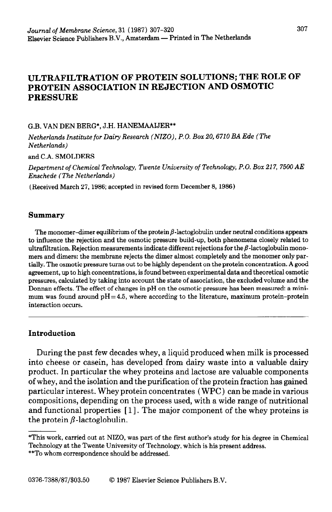# ULTRAFILTRATION OF PROTEIN SOLUTIONS; THE ROLE OF PROTEIN ASSOCIATION IN REJECTION AND OSMOTIC PRESSURE

#### G.B. VAN DEN BERG\*, J.H. HANEMAAIJER\*\*

*Netherlands Institute for Dairy Research (NZZO), P.O. Box 20,671O BA Ede (The Netherlands)* 

**and** C.A. SMOLDERS

*Department of Chemical Technology, Twente University of Technology, P.O. Box 217, 7500 AE Enschede (The Netherlands)* 

(Received March 27,1986; accepted in revised form December 8,1986)

### **Summary**

The monomer-dimer equilibrium of the protein  $\beta$ -lactoglobulin under neutral conditions appears to influence the rejection and the osmotic pressure build-up, both phenomena closely related to ultrafiltration. Rejection measurements indicate different rejections for the  $\beta$ -lactoglobulin monomers and dimers: the membrane rejects the dimer almost completely and the monomer only partially. The osmotic pressure turns out to be highly dependent on the protein concentration. A good agreement, up to high concentrations, is found between experimental data and theoretical osmotic pressures, calculated by taking into account the state of association, the excluded volume and the Donnan effects. The effect of changes in pH on the osmotic pressure has been measured: a minimum was found around  $pH = 4.5$ , where according to the literature, maximum protein-protein interaction occurs.

## **Introduction**

During the past few decades whey, a liquid produced when milk is processed into cheese or casein, has developed from dairy waste into a valuable dairy product. In particular the whey proteins and lactose are valuable components of whey, and the isolation and the purification of the protein fraction has gained particular interest. Whey protein concentrates ( **WPC)** can be made in various compositions, depending on the process used, with a wide range of nutritional and functional properties [ 11. The major component of the whey proteins is the protein  $\beta$ -lactoglobulin.

<sup>\*</sup>This work, carried out at NIZO, was part of the first author's study for his degree in Chemical Technology at the Twente University of Technology, which is his present address.

<sup>\*\*</sup>To whom correspondence should be addressed.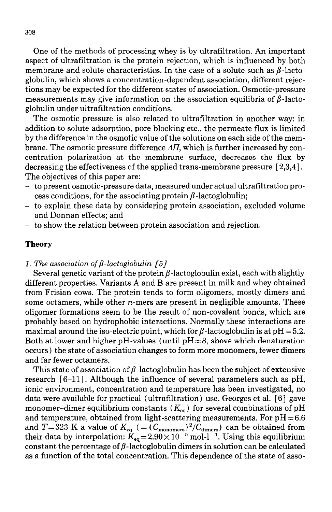One of the methods of processing whey is by ultrafiltration. An important aspect of ultrafiltration is the protein rejection, which is influenced by both membrane and solute characteristics. In the case of a solute such as  $\beta$ -lactoglobulin, which shows a concentration-dependent association, different rejections may be expected for the different states of association. Osmotic-pressure measurements may give information on the association equilibria of  $\beta$ -lactoglobulin under ultrafiltration conditions.

The osmotic pressure is also related to ultrafiltration in another way: in addition to solute adsorption, pore blocking etc., the permeate flux is limited by the difference in the osmotic value of the solutions on each side of the membrane. The osmotic pressure difference  $\Delta H$ , which is further increased by concentration polarization at the membrane surface, decreases the flux by decreasing the effectiveness of the applied trans-membrane pressure [2,3,4]. The objectives of this paper are:

- to present osmotic-pressure data, measured under actual ultrafiltration process conditions, for the associating protein  $\beta$ -lactoglobulin;
- to explain these data by considering protein association, excluded volume and Donnan effects; and
- to show the relation between protein association and rejection.

#### **Theory**

*1. The association of*  $\beta$ *-lactoglobulin [5]* 

Several genetic variant of the protein  $\beta$ -lactoglobulin exist, each with slightly different properties. Variants A and B are present in milk and whey obtained from Frisian cows. The protein tends to form oligomers, mostly dimers and some octamers, while other *n*-mers are present in negligible amounts. These oligomer formations seem to be the result of non-covalent bonds, which are probably based on hydrophobic interactions. Normally these interactions are maximal around the iso-electric point, which for  $\beta$ -lactoglobulin is at pH = 5.2. Both at lower and higher pH-values (until  $pH \approx 8$ , above which denaturation occurs) the state of association changes to form more monomers, fewer dimers and far fewer octamers.

This state of association of  $\beta$ -lactoglobulin has been the subject of extensive research  $[6-11]$ . Although the influence of several parameters such as pH, ionic environment, concentration and temperature has been investigated, no data were available for practical (ultrafiltration) use. Georges et al. [6] gave monomer-dimer equilibrium constants  $(K_{eq})$  for several combinations of pH and temperature, obtained from light-scattering measurements. For  $pH = 6.6$ and  $T=323$  K a value of  $K_{\text{eq}}$  ( $=(C_{\text{monomers}})^2/C_{\text{dimers}}$ ) can be obtained from their data by interpolation:  $K_{\rm eq}$  = 2.90 $\times$  10<sup>-5</sup> mol-l<sup>-1</sup>. Using this equilibrium constant the percentage of  $\beta$ -lactoglobulin dimers in solution can be calculated as a function of the total concentration. This dependence of the state of asso-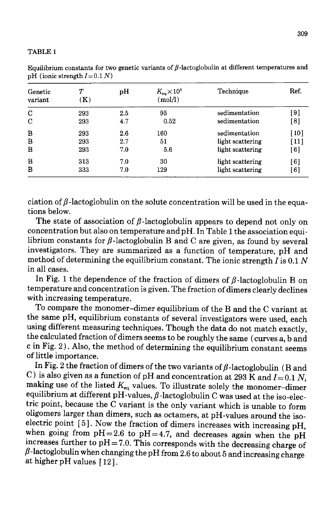#### TABLE<sub>1</sub>

| Genetic<br>variant | $\tau$<br>(K) | pH  | $K_{\rm eq}\!\times\!10^6$<br>(mod/l) | Technique        | Ref.               |
|--------------------|---------------|-----|---------------------------------------|------------------|--------------------|
| C                  | 293           | 2.5 | 95                                    | sedimentation    | [9]                |
| C                  | 293           | 4.7 | 0.52                                  | sedimentation    | [8]                |
| B                  | 293           | 2.6 | 160                                   | sedimentation    | [10]               |
| B                  | 293           | 2.7 | 51                                    | light scattering | $\lceil 11 \rceil$ |
| B                  | 293           | 7.0 | 5.6                                   | light scattering | [6]                |
| B                  | 313           | 7.0 | 30                                    | light scattering | [6]                |
| в                  | 333           | 7.0 | 129                                   | light scattering | [6]                |

Equilibrium constants for two genetic variants of  $\beta$ -lactoglobulin at different temperatures and pH (ionic strength  $I=0.1 N$ )

ciation of  $\beta$ -lactoglobulin on the solute concentration will be used in the equations below.

The state of association of  $\beta$ -lactoglobulin appears to depend not only on concentration but also on temperature and pH. In Table 1 the association equilibrium constants for  $\beta$ -lactoglobulin B and C are given, as found by several investigators. They are summarized as a function of temperature, pH and method of determining the equilibrium constant. The ionic strength  $I$  is 0.1  $N$ in all cases.

In Fig. 1 the dependence of the fraction of dimers of  $\beta$ -lactoglobulin B on temperature and concentration is given. The fraction of dimers clearly declines with increasing temperature.

To compare the monomer-dimer equilibrium of the B and the C variant at the same pH, equilibrium constants of several investigators were used, each using different measuring techniques. Though the data do not match exactly. the calculated fraction of dimers seems to be roughly the same (curves a, b and c in Fig. 2). Also, the method of determining the equilibrium constant seems of little importance.

In Fig. 2 the fraction of dimers of the two variants of  $\beta$ -lactoglobulin (B and C) is also given as a function of pH and concentration at 293 K and  $I=0.1 N$ , making use of the listed  $K_{eq}$  values. To illustrate solely the monomer-dimer equilibrium at different pH-values,  $\beta$ -lactoglobulin C was used at the iso-electric point, because the C variant is the only variant which is unable to form oligomers larger than dimers, such as octamers, at pH-values around the isoelectric point  $\lceil 5 \rceil$ . Now the fraction of dimers increases with increasing pH, when going from  $pH = 2.6$  to  $pH = 4.7$ , and decreases again when the  $pH$ increases further to  $pH = 7.0$ . This corresponds with the decreasing charge of  $\beta$ -lactoglobulin when changing the pH from 2.6 to about 5 and increasing charge at higher pH values [12].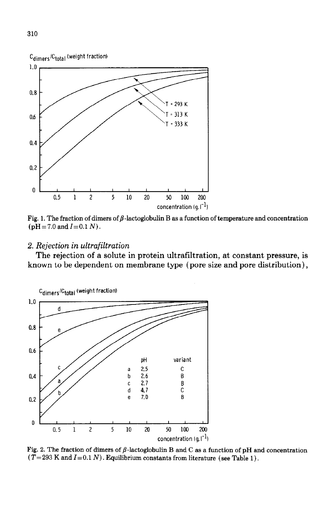

Fig. 1. The fraction of dimers of  $\beta$ -lactoglobulin B as a function of temperature and concentration  $(pH=7.0$  and  $I=0.1 N)$ .

## *2. Rejection in ultrafiltration*

The rejection of a solute in protein ultrafiltration, at constant pressure, is known to be dependent on membrane type (pore size and pore distribution),



Fig. 2. The fraction of dimers of  $\beta$ -lactoglobulin B and C as a function of pH and concentration  $(T= 293$  K and  $I=0.1$  N). Equilibrium constants from literature (see Table 1).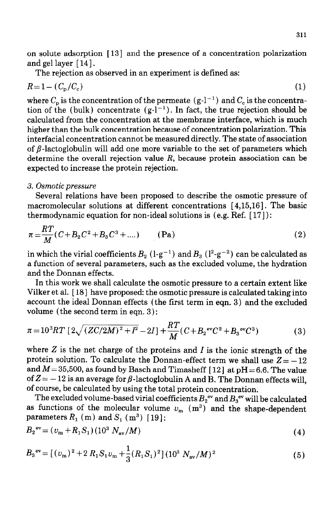on solute adsorption [ 131 and the presence of a concentration polarization and gel layer [ 141.

The rejection as observed in an experiment is defined as:

$$
R=1-(C_{\rm p}/C_{\rm c})\tag{1}
$$

where  $C_{\rm p}$  is the concentration of the permeate  $({\rm g\text{-}l^{-1}})$  and  $C_{\rm c}$  is the concentra tion of the (bulk) concentrate  $(g-l^{-1})$ . In fact, the true rejection should be calculated from the concentration at the membrane interface, which is much higher than the bulk concentration because of concentration polarization. This interfacial concentration cannot be measured directly. The state of association of  $\beta$ -lactoglobulin will add one more variable to the set of parameters which determine the overall rejection value *R,* because protein association can be expected to increase the protein rejection.

#### 3. *Osmotic pressure*

Several relations have been proposed to describe the osmotic pressure of macromolecular solutions at different concentrations [ 4,15,16]. The basic thermodynamic equation for non-ideal solutions is (e.g. Ref. [ 171) :

$$
\pi = \frac{RT}{M}(C + B_2C^2 + B_3C^3 + ....)
$$
 (Pa) (2)

in which the virial coefficients  $B_2$  (l-g<sup>-1</sup>) and  $B_3$  (l<sup>2</sup>-g<sup>-2</sup>) can be calculated as a function of several parameters, such as the excluded volume, the hydration and the Donnan effects.

In this work we shall calculate the osmotic pressure to a certain extent like Vilker et al. [ 181 have proposed: the osmotic pressure is calculated taking into account the ideal Donnan effects (the first term in eqn. 3) and the excluded volume (the second term in eqn. 3 ) :

$$
\pi = 10^3 RT \left[ 2\sqrt{(ZC/2M)^2 + I^2} - 2I \right] + \frac{RT}{M} (C + B_2{}^{ev}C^2 + B_3{}^{ev}C^3)
$$
 (3)

where  $Z$  is the net charge of the proteins and  $I$  is the ionic strength of the protein solution. To calculate the Donnan-effect term we shall use  $Z = -12$ and  $M=35,500$ , as found by Basch and Timasheff [12] at pH = 6.6. The value of  $Z = -12$  is an average for  $\beta$ -lactoglobulin A and B. The Donnan effects will, of course, be calculated by using the total protein concentration.

The excluded volume-based virial coefficients  $B_2^{\text{ev}}$  and  $B_3^{\text{ev}}$  will be calculated as functions of the molecular volume  $v_m$  (m<sup>3</sup>) and the shape-dependent parameters  $R_1$  (m) and  $S_1$  (m<sup>3</sup>) [19]:

$$
B_2^{\text{ev}} = (v_m + R_1 S_1)(10^3 \, N_{\text{av}}/M) \tag{4}
$$

$$
B_3^{\text{ev}} = \left[ (v_{\text{m}})^2 + 2 R_1 S_1 v_{\text{m}} + \frac{1}{3} (R_1 S_1)^2 \right] (10^3 \ N_{\text{av}} / M)^2 \tag{5}
$$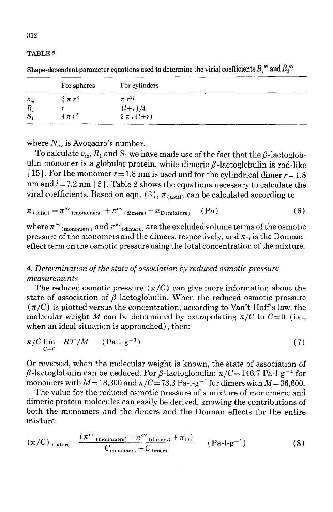#### TABLE 2

| For spheres |                     | For cylinders  |  |  |  |
|-------------|---------------------|----------------|--|--|--|
| $v_m$       | $rac{4}{3} \pi r^3$ | $\pi r^2l$     |  |  |  |
| $R_{1}$     |                     | $(l + r)/4$    |  |  |  |
| $S_1$       | $4 \pi r^2$         | $2 \pi r(l+r)$ |  |  |  |

Shape-dependent parameter equations used to determine the virial coefficients  $B_2^{\text{ev}}$  and  $B_3^{\text{ev}}$ 

where  $N_{av}$  is Avogadro's number.

To calculate  $v_m$ ,  $R_1$  and  $S_1$  we have made use of the fact that the  $\beta$ -lactoglobulin monomer is a globular protein, while dimeric  $\beta$ -lactoglobulin is rod-like [15]. For the monomer  $r = 1.8$  nm is used and for the cylindrical dimer  $r = 1.8$ nm and  $l = 7.2$  nm [5]. Table 2 shows the equations necessary to calculate the viral coefficients. Based on eqn. (3),  $\pi_{(total)}$  can be calculated according to

$$
\pi_{\text{(total)}} = \pi^{\text{ev}}_{\text{(monomers)}} + \pi^{\text{ev}}_{\text{(dimers)}} + \pi_{\text{D(mixture)}} \quad (\text{Pa})
$$
 (6)

where  $\pi^{\mathrm{ev}}_{\phantom{\mathrm{ev}}(\mathrm{monomers})}$  and  $\pi^{\mathrm{ev}}_{\phantom{\mathrm{ev}}(\mathrm{dimers})}$  are the excluded volume terms of the osmotic pressure of the monomers and the dimers, respectively, and  $\pi_{\text{D}}$  is the Donnaneffect term on the osmotic pressure using the total concentration of the mixture.

# 4. *Determination of the state of association by reduced osmotic-pressure measurements*

The reduced osmotic pressure  $(\pi/C)$  can give more information about the state of association of  $\beta$ -lactoglobulin. When the reduced osmotic pressure  $(\pi/C)$  is plotted versus the concentration, according to Van't Hoff's law, the molecular weight *M* can be determined by extrapolating  $\pi/C$  to  $C=0$  (i.e., when an ideal situation is approached), then:

$$
\pi/C \lim_{C \to 0} = RT/M \qquad (\text{Pa-l-}g^{-1}) \tag{7}
$$

Or reversed, when the molecular weight is known, the state of association of  $\beta$ -lactoglobulin can be deduced. For  $\beta$ -lactoglobulin:  $\pi/C=146.7$  Pa-l-g<sup>-1</sup> for monomers with  $M = 18,300$  and  $\pi/C = 73.3$  Pa-l-g<sup>-1</sup> for dimers with  $M = 36,600$ .

The value for the reduced osmotic pressure of a mixture of monomeric and dimeric protein molecules can easily be derived, knowing the contributions of both the monomers and the dimers and the Donnan effects for the entire mixture:

$$
(\pi/C)_{\text{mixture}} = \frac{(\pi^{\text{ev}}(\text{monomers}) + \pi^{\text{ev}}(\text{dimers}) + \pi_{\text{D}})}{C_{\text{monomers}} + C_{\text{dimers}}} \qquad \text{(Pa-l-g^{-1})}
$$
(8)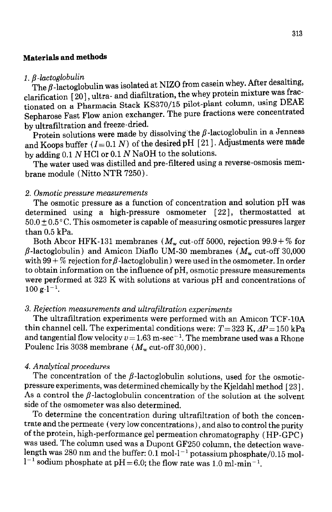## Materials and methods

### $1. \beta$ -lactoglobulin

The  $\beta$ -lactoglobulin was isolated at NIZO from casein whey. After desalting, clarification  $\lceil 20 \rceil$ , ultra- and diafiltration, the whey protein mixture was fractionated on a Pharmacia Stack KS370/15 pilot-plant column, using DEAE Sepharose Fast Flow anion exchanger. The pure fractions were concentrated by-ultrafiltration and freeze-dried.

Protein solutions were made by dissolving the  $\beta$ -lactoglobulin in a Jenness and Koops buffer  $(I= 0.1 N)$  of the desired pH [21]. Adjustments were made by adding 0.1 N HCl or 0.1 N NaOH to the solutions.

The water used was distilled and pre-filtered using a reverse-osmosis membrane module ( Nitto NTR 7250).

### 2. *Osmotic* pressure *measurements*

The osmotic pressure as a function of concentration and solution pH was determined using a high-pressure osmometer [22], thermostatted at  $50.0 \pm 0.5$  °C. This osmometer is capable of measuring osmotic pressures larger than 0.5 kPa.

Both Abcor HFK-131 membranes ( $M_{\rm w}$  cut-off 5000, rejection 99.9+% for  $\beta$ -lactoglobulin) and Amicon Diaflo UM-30 membranes ( $M_{\rm w}$  cut-off 30,000 with 99 + % rejection for  $\beta$ -lactoglobulin) were used in the osmometer. In order to obtain information on the influence of pH, osmotic pressure measurements were performed at 323 K with solutions at various pH and concentrations of  $100 g-l^{-1}$ .

## 3. *Rejection measurements and ultrafiltration experiments*

The ultrafiltration experiments were performed with an Amicon TCF-1OA thin channel cell. The experimental conditions were:  $T=323$  K,  $AP=150$  kPa and tangential flow velocity  $v = 1.63$  m-sec<sup>-1</sup>. The membrane used was a Rhone Poulenc Iris 3038 membrane  $(M_w \text{ cut-off } 30,000)$ .

## *4. Analytical procedures*

The concentration of the  $\beta$ -lactoglobulin solutions, used for the osmoticpressure experiments, was determined chemically by the Kjeldahl method [ 231. As a control the  $\beta$ -lactoglobulin concentration of the solution at the solvent side of the osmometer was also determined.

To determine the concentration during ultrafiltration of both the concentrate and the permeate (very low concentrations), and also to control the purity of the protein, high-performance gel permeation chromatography (HP-GPC) was used. The column used was a Dupont GF250 column, the detection wavelength was 280 nm and the buffer: 0.1 mol- $l^{-1}$  potassium phosphate/0.15 mol- $1^{-1}$  sodium phosphate at pH = 6.0; the flow rate was 1.0 ml-min<sup>-1</sup>.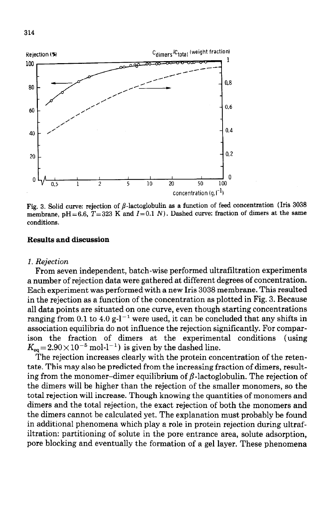

Fig. 3. Solid curve: rejection of  $\beta$ -lactoglobulin as a function of feed concentration (Iris 3038 membrane,  $pH = 6.6$ ,  $T = 323$  K and  $I = 0.1$  N). Dashed curve: fraction of dimers at the same **conditions.** 

#### Results and discussion

#### *1. Rejection*

*From* **seven** independent, batch-wise performed ultrafiltration experiments a number of rejection data were gathered at different degrees of concentration. Each experiment was performed with a new Iris 3038 membrane. This resulted in the rejection as a function of the concentration as plotted in Fig. 3. Because all data points are situated on one curve, even though starting concentrations ranging from 0.1 to 4.0 g- $l^{-1}$  were used, it can be concluded that any shifts in association equilibria do not influence the rejection significantly. For comparison the fraction of dimers at the experimental conditions (using  $K_{\rm eq} = 2.90 \times 10^{-5}$  mol-l<sup>-1</sup>) is given by the dashed line.

The rejection increases clearly with the protein concentration of the retentate. This may also be predicted from the increasing fraction of dimers, resulting from the monomer-dimer equilibrium of  $\beta$ -lactoglobulin. The rejection of the dimers will be higher than the rejection of the smaller monomers, so the total rejection will increase. Though knowing the quantities of monomers and dimers and the total rejection, the exact rejection of both the monomers and the dimers cannot be calculated yet. The explanation must probably be found in additional phenomena which play a role in protein rejection during ultrafiltration: partitioning of solute in the pore entrance area, solute adsorption, pore blocking and eventually the formation of a gel layer. These phenomena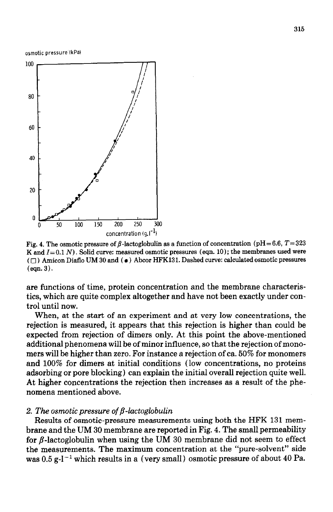osmotic pressure IkPal



Fig. 4. The osmotic pressure of  $\beta$ -lactoglobulin as a function of concentration (pH = 6.6,  $T=323$ )  $K$  and  $I=0.1$   $N$ ). Solid curve: measured osmotic pressures (eqn. 10); the membranes used were **I:) A;;icon Diaflo UM 30 and (** l **) Abcor HFK131. Dashed curve: calculated osmotic pressures**   $(\text{eon. } 3)$ .

are functions of time, protein concentration and the membrane characteristics, which are quite complex altogether and have not been exactly under control until now.

When, at the start of an experiment and at very low concentrations, the rejection is measured, it appears that this rejection is higher than could be expected from rejection of dimers only. At this point the above-mentioned additional phenomena will be of minor influence, so that the rejection of monomers will be higher than zero. For instance a rejection of ca. 50% for monomers and 100% for dimers at initial conditions (low concentrations, no proteins adsorbing or pore blocking) can explain the initial overall rejection quite well. At higher concentrations the rejection then increases as a result of the phenomena mentioned above.

#### 2. The *osmotic pressure of*  $\beta$ *-lactoglobulin*

Results of osmotic-pressure measurements using both the HFK **131** membrane and the UM 30 membrane are reported in Fig. 4. The small permeability for  $\beta$ -lactoglobulin when using the UM 30 membrane did not seem to effect the measurements. The maximum concentration at the "pure-solvent" side was  $0.5$  g-l<sup>-1</sup> which results in a (very small) osmotic pressure of about 40 Pa.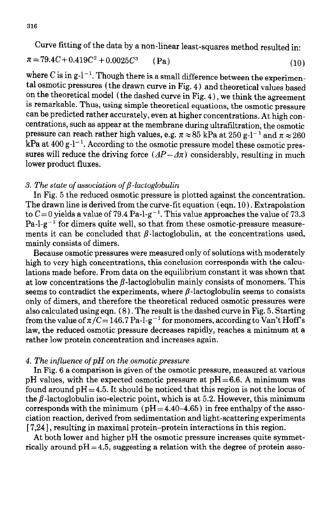Curve fitting of the data by a non-linear least-squares method resulted in:

$$
\pi = 79.4C + 0.419C^2 + 0.0025C^3 \qquad (\text{Pa})
$$
 (10)

where C is in  $g-l^{-1}$ . Though there is a small difference between the experimental osmotic pressures (the drawn curve in Fig. 4) and theoretical values based on the theoretical model (the dashed curve in Fig.  $4$ ), we think the agreement is remarkable. Thus, using simple theoretical equations, the osmotic pressure can be predicted rather accurately, even at higher concentrations. At high concentrations, such as appear at the membrane during ultrafiltration, the osmotic pressure can reach rather high values, e.g.  $\pi \approx 85$  kPa at 250 g-l<sup>-1</sup> and  $\pi \approx 260$  $kPa$  at 400 g- $l^{-1}$ . According to the osmotic pressure model these osmotic pressures will reduce the driving force  $(AP - \Delta \pi)$  considerably, resulting in much lower product fluxes.

## 3. The state of association of  $\beta$ -lactoglobulin

In Fig. 5 the reduced osmotic pressure is plotted against the concentration. The drawn line is derived from the curve-fit equation (eqn.  $10$ ). Extrapolation to  $C=0$  yields a value of 79.4 Pa-l-g<sup>-1</sup>. This value approaches the value of 73.3  $Pa-I-g^{-1}$  for dimers quite well, so that from these osmotic-pressure measurements it can be concluded that  $\beta$ -lactoglobulin, at the concentrations used, mainly consists of dimers.

Because osmotic pressures were measured only of solutions with moderately high to very high concentrations, this conclusion corresponds with the calculations made before. From data on the equilibrium constant it was shown that at low concentrations the  $\beta$ -lactoglobulin mainly consists of monomers. This seems to contradict the experiments, where  $\beta$ -lactoglobulin seems to consists only of dimers, and therefore the theoretical reduced osmotic pressures were also calculated using eqn. (8). The result is the dashed curve in Fig. 5. Starting from the value of  $\pi/C= 146.7$  Pa-l-g<sup>-1</sup> for monomers, according to Van't Hoff's law, the reduced osmotic pressure decreases rapidly, reaches a minimum at a rather low protein concentration and increases again.

### *4. The influence of pH on the osmotic pressure*

In Fig. 6 a comparison is given of the osmotic pressure, measured at various pH values, with the expected osmotic pressure at  $pH=6.6$ . A minimum was found around  $pH = 4.5$ . It should be noticed that this region is not the locus of the  $\beta$ -lactoglobulin iso-electric point, which is at 5.2. However, this minimum corresponds with the minimum ( $pH = 4.40-4.65$ ) in free enthalpy of the association reaction, derived from sedimentation and light-scattering experiments [7,24], resulting in maximal protein-protein interactions in this region.

At both lower and higher pH the osmotic pressure increases quite symmetrically around  $pH = 4.5$ , suggesting a relation with the degree of protein asso-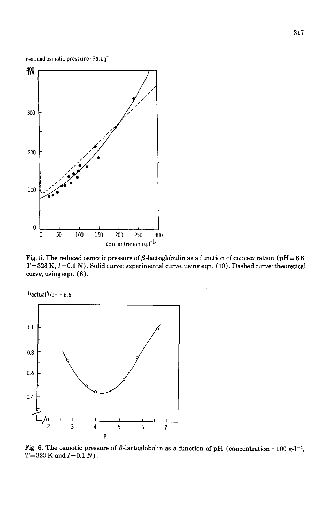

Fig. 5. The reduced osmotic pressure of  $\beta$ -lactoglobulin as a function of concentration (pH=6.6,  $T=323$  K,  $I=0.1$  N). Solid curve: experimental curve, using eqn. (10). Dashed curve: theoretical curve, using eqn.  $(8)$ .



Fig. 6. The osmotic pressure of  $\beta$ -lactoglobulin as a function of pH (concentration= 100 g-l<sup>-1</sup>,  $T=323$  K and  $I=0.1$  N).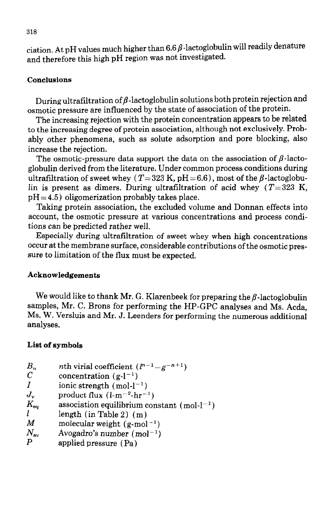ciation. At pH values much higher than  $6.6\,\beta$ -lactoglobulin will readily denature and therefore this high pH region was not investigated.

## **Conclusions**

During ultrafiltration of  $\beta$ -lactoglobulin solutions both protein rejection and osmotic pressure are influenced by the state of association of the protein.

The increasing rejection with the protein concentration appears to be related to the increasing degree of protein association, although not exclusively. Probably other phenomena, such as solute adsorption and pore blocking, also increase the rejection.

The osmotic-pressure data support the data on the association of  $\beta$ -lactoglobulin derived from the literature. Under common process conditions during ultrafiltration of sweet whey  $(T=323 \text{ K}, \text{pH} = 6.6)$ , most of the  $\beta$ -lactoglobulin is present as dimers. During ultrafiltration of acid whey *(T=323* K,  $pH = 4.5$ ) oligomerization probably takes place.

Taking protein association, the excluded volume and Donnan effects into account, the osmotic pressure at various concentrations and process conditions can be predicted rather well.

Especially during ultrafiltration of sweet whey when high concentrations occur at the membrane surface, considerable contributions of the osmotic pressure to limitation of the flux must be expected.

## **Acknowledgements**

We would like to thank Mr. G. Klarenbeek for preparing the  $\beta$ -lactoglobulin samples, Mr. C. Brons for performing the HP-GPC analyses and Ms. Acda, Ms. W. Versiuis and Mr. J. Leenders for performing the numerous additional analyses.

## **List of symbols**

| $B_n^{\vphantom{\dagger}}$ | <i>nth</i> virial coefficient $(l^{n-1}-g^{-n+1})$ |  |  |
|----------------------------|----------------------------------------------------|--|--|
|----------------------------|----------------------------------------------------|--|--|

- C concentration  $(g-l^{-1})$
- *I* ionic strength  $(mol-l^{-1})$
- $J_{\rm v}$  product flux  $(l-m^{-2}\text{-}hr^{-1})$
- $K_{\text{eq}}$  association equilibrium constant (mol-l<sup>-1</sup>)<br>
length (in Table 2) (m)
- $l$  length (in Table 2) (m)<br>  $M$  molecular weight (g-mol
- molecular weight  $(g \text{-} mol^{-1})$
- $N_{\rm av}$  Avogadro's number (mol<sup>-1</sup>)<br>P sombied pressure (Po)
- applied pressure  $(Pa)$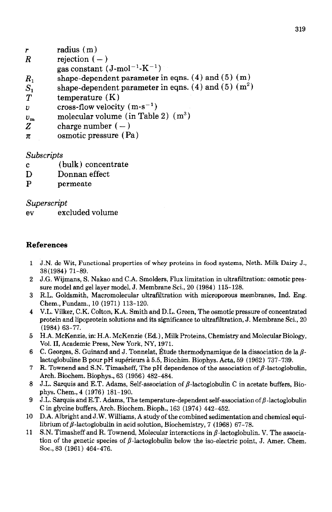- radius (m) r
- $\overline{R}$ rejection  $(-)$
- gas constant  $(J$ -mol<sup>-1</sup>-K<sup>-1</sup>)
- shape-dependent parameter in eqns.  $(4)$  and  $(5)$   $(m)$  $R_{1}$
- shape-dependent parameter in eqns. (4) and (5)  $(m<sup>2</sup>)$  $S_{1}$
- $T$ temperature (K)
- cross-flow velocity  $(m-s^{-1})$ U.
- molecular volume (in Table 2)  $(m^3)$  $v_{\rm m}$
- Z charge number  $(-)$
- osmotic pressure (Pa)  $\pi$

## *Subscripts*

- (bulk) concentrate  $\mathbf{c}$
- D Donnan effect
- P permeate

## *Superscript*

*ev* excluded volume

## **References**

- J.N. de Wit, Functional properties of whey proteins in food systems, Neth. Milk Dairy J., 38(1984) 71-89.
- J.G. Wijmans, S. Nakao and C.A. Smolders, Flux limitation in ultrafiltration: osmotic pressure model and gel layer model, J. Membrane Sci., 20 (1984) 115-128.
- R.L. Goldsmith, Macromolecular ultrafiltration with microporous membranes, Ind. Eng. Chem., Fundam., 10 (1971) 113-120.
- V.L. Vilker, C.K. Colton, K.A. Smith and D.L. Green, The osmotic pressure of concentrated protein and lipoprotein solutions and its significance to ultrafiltration, J. Membrane Sci., 20 (1984) 63-77.
- 5 H.A. McKenzie, in: H.A. McKenzie (Ed.), Milk Proteins, Chemistry and Molecular Biology, Vol. II, Academic Press, New York, NY, 1971.
- 6  $\,$  C. Georges, S. Guinand and J. Tonnelat, Etude thermodynamique de la dissociation de la  $\beta$ lactoglobuline B pour pH superieurs à 5.5, Biochim. Biophys. Acta, 59 (1962) 737-739.
- 7 R. Townend and S.N. Timasheff, The pH dependence of the association of  $\beta$ -lactoglobulin, Arch. Biochem. Biophys., 63 (1956) 482-484.
- 8 J.L. Sarquis and E.T. Adams, Self-association of  $\beta$ -lactoglobulin C in acetate buffers, Biophys. Chem., 4 (1976) 181-190.
- 9 J.L. Sarquis and E.T. Adams, The temperature-dependent self-association of  $\beta$ -lactoglobulin C in glycine buffers, Arch. Biochem. Bioph., 163 (1974) 442-452.
- 10 D.A. Albright and J.W. Williams, A study of the combined sedimentation and chemical equilibrium of  $\beta$ -lactoglobulin in acid solution, Biochemistry, 7 (1968) 67-78.
- 11 S.N. Timasheff and R. Townend, Molecular interactions in  $\beta$ -lactoglobulin. V. The association of the genetic species of  $\beta$ -lactoglobulin below the iso-electric point, J. Amer. Chem. Sot., 83 (1961) 464-476.